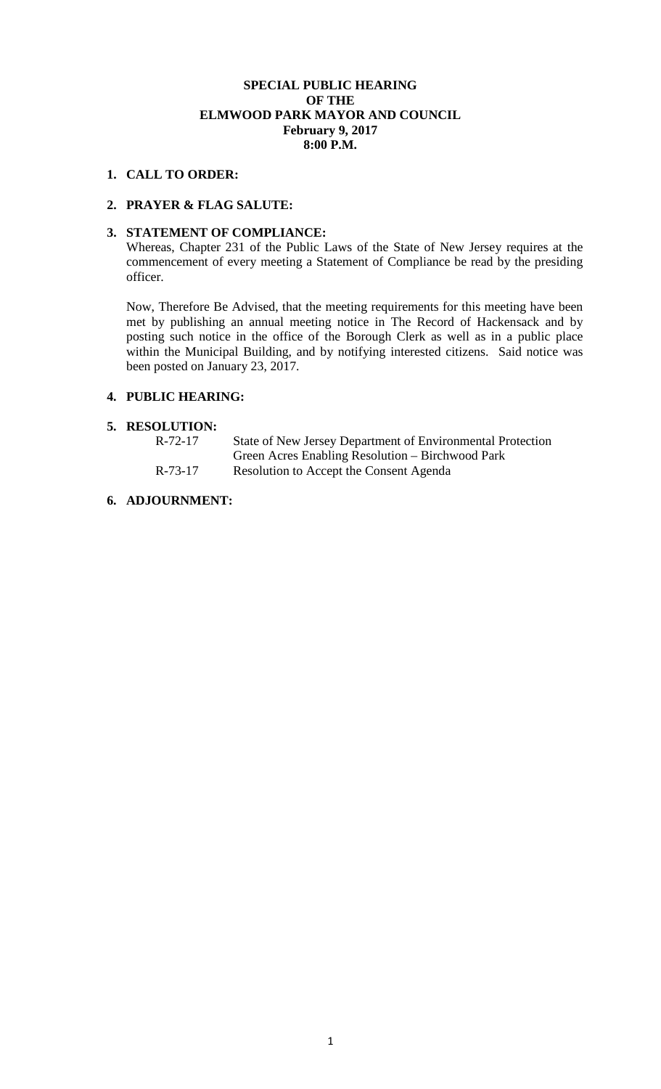## **SPECIAL PUBLIC HEARING OF THE ELMWOOD PARK MAYOR AND COUNCIL February 9, 2017 8:00 P.M.**

#### **1. CALL TO ORDER:**

## **2. PRAYER & FLAG SALUTE:**

## **3. STATEMENT OF COMPLIANCE:**

Whereas, Chapter 231 of the Public Laws of the State of New Jersey requires at the commencement of every meeting a Statement of Compliance be read by the presiding officer.

Now, Therefore Be Advised, that the meeting requirements for this meeting have been met by publishing an annual meeting notice in The Record of Hackensack and by posting such notice in the office of the Borough Clerk as well as in a public place within the Municipal Building, and by notifying interested citizens. Said notice was been posted on January 23, 2017.

# **4. PUBLIC HEARING:**

#### **5. RESOLUTION:**

| R-72-17 | State of New Jersey Department of Environmental Protection |
|---------|------------------------------------------------------------|
|         | Green Acres Enabling Resolution – Birchwood Park           |
| R-73-17 | Resolution to Accept the Consent Agenda                    |

# **6. ADJOURNMENT:**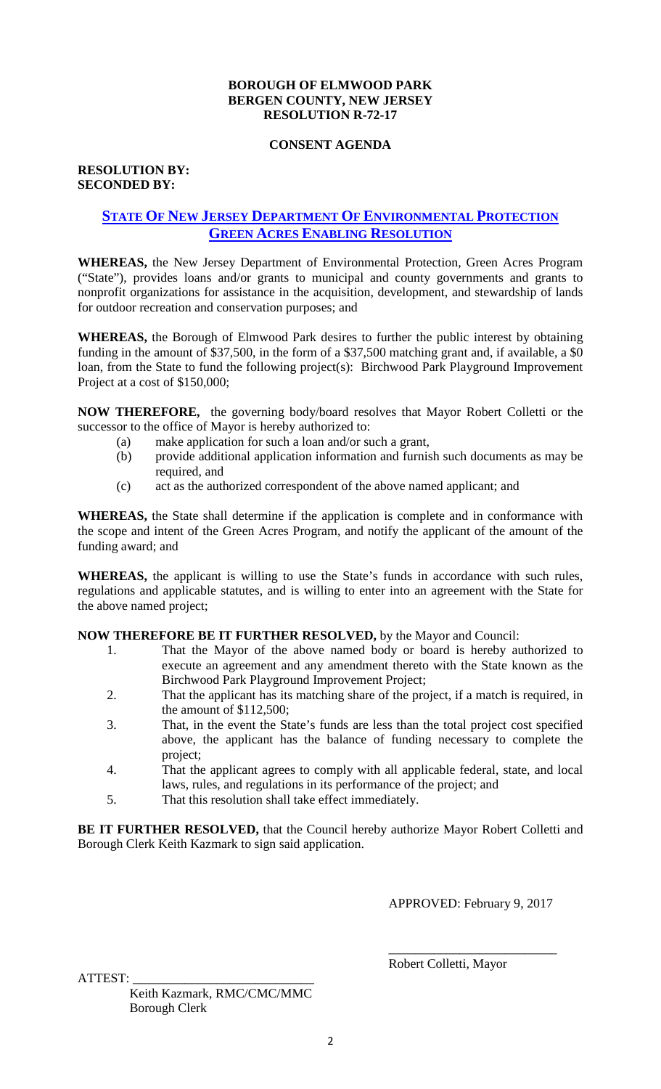## **BOROUGH OF ELMWOOD PARK BERGEN COUNTY, NEW JERSEY RESOLUTION R-72-17**

#### **CONSENT AGENDA**

# **RESOLUTION BY: SECONDED BY:**

# **STATE OF NEW JERSEY DEPARTMENT OF ENVIRONMENTAL PROTECTION GREEN ACRES ENABLING RESOLUTION**

**WHEREAS,** the New Jersey Department of Environmental Protection, Green Acres Program ("State"), provides loans and/or grants to municipal and county governments and grants to nonprofit organizations for assistance in the acquisition, development, and stewardship of lands for outdoor recreation and conservation purposes; and

**WHEREAS,** the Borough of Elmwood Park desires to further the public interest by obtaining funding in the amount of \$37,500, in the form of a \$37,500 matching grant and, if available, a \$0 loan, from the State to fund the following project(s): Birchwood Park Playground Improvement Project at a cost of \$150,000;

**NOW THEREFORE,** the governing body/board resolves that Mayor Robert Colletti or the successor to the office of Mayor is hereby authorized to:

- (a) make application for such a loan and/or such a grant,
- (b) provide additional application information and furnish such documents as may be required, and
- (c) act as the authorized correspondent of the above named applicant; and

**WHEREAS,** the State shall determine if the application is complete and in conformance with the scope and intent of the Green Acres Program, and notify the applicant of the amount of the funding award; and

**WHEREAS,** the applicant is willing to use the State's funds in accordance with such rules, regulations and applicable statutes, and is willing to enter into an agreement with the State for the above named project;

**NOW THEREFORE BE IT FURTHER RESOLVED,** by the Mayor and Council:

- 1. That the Mayor of the above named body or board is hereby authorized to execute an agreement and any amendment thereto with the State known as the Birchwood Park Playground Improvement Project;
- 2. That the applicant has its matching share of the project, if a match is required, in the amount of \$112,500;
- 3. That, in the event the State's funds are less than the total project cost specified above, the applicant has the balance of funding necessary to complete the project;
- 4. That the applicant agrees to comply with all applicable federal, state, and local laws, rules, and regulations in its performance of the project; and
- 5. That this resolution shall take effect immediately.

BE IT FURTHER RESOLVED, that the Council hereby authorize Mayor Robert Colletti and Borough Clerk Keith Kazmark to sign said application.

APPROVED: February 9, 2017

ATTEST: \_\_\_\_\_\_\_\_\_\_\_\_\_\_\_\_\_\_\_\_\_\_\_\_\_\_\_\_

 Keith Kazmark, RMC/CMC/MMC Borough Clerk

 $\overline{\phantom{a}}$  , which is a set of the set of the set of the set of the set of the set of the set of the set of the set of the set of the set of the set of the set of the set of the set of the set of the set of the set of th Robert Colletti, Mayor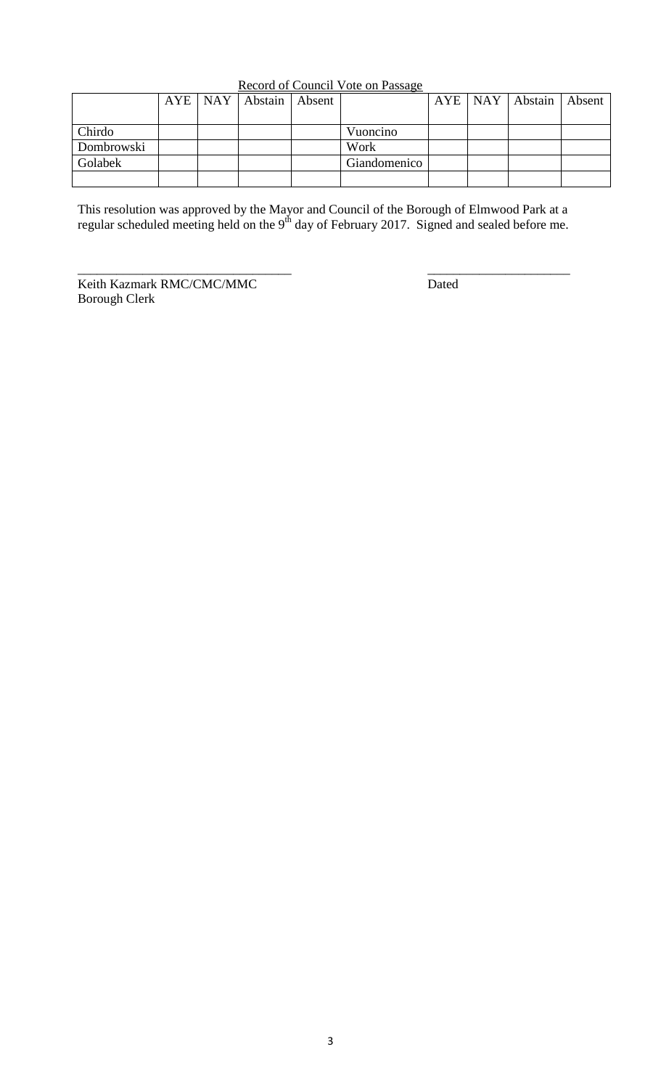| Record of Council Vote on Passage |
|-----------------------------------|
|-----------------------------------|

|            |  | AYE   NAY   Abstain   Absent |              |  | AYE   NAY   Abstain   Absent |  |
|------------|--|------------------------------|--------------|--|------------------------------|--|
|            |  |                              |              |  |                              |  |
| Chirdo     |  |                              | Vuoncino     |  |                              |  |
| Dombrowski |  |                              | Work         |  |                              |  |
| Golabek    |  |                              | Giandomenico |  |                              |  |
|            |  |                              |              |  |                              |  |

This resolution was approved by the Mayor and Council of the Borough of Elmwood Park at a regular scheduled meeting held on the  $9<sup>th</sup>$  day of February 2017. Signed and sealed before me.

Keith Kazmark RMC/CMC/MMC Dated Borough Clerk

\_\_\_\_\_\_\_\_\_\_\_\_\_\_\_\_\_\_\_\_\_\_\_\_\_\_\_\_\_\_\_\_\_ \_\_\_\_\_\_\_\_\_\_\_\_\_\_\_\_\_\_\_\_\_\_